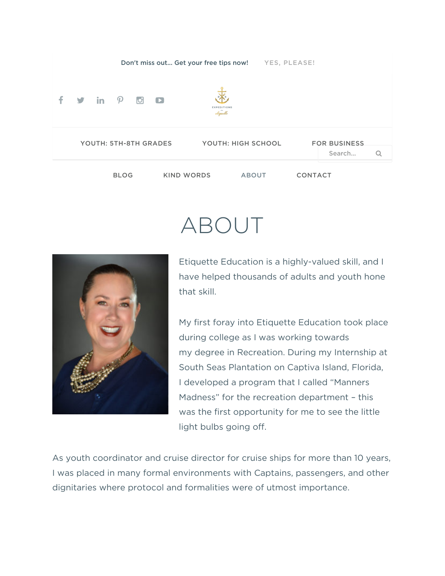

## ABOUT



Etiquette Education is a highly-valued skill, and I have helped thousands of adults and youth hone that skill.

My first foray into Etiquette Education took place during college as I was working towards my degree in Recreation. During my Internship at South Seas Plantation on Captiva Island, Florida, I developed a program that I called "Manners Madness" for the recreation department – this was the first opportunity for me to see the little light bulbs going off.

As youth coordinator and cruise director for cruise ships for more than 10 years, I was placed in many formal environments with Captains, passengers, and other dignitaries where protocol and formalities were of utmost importance.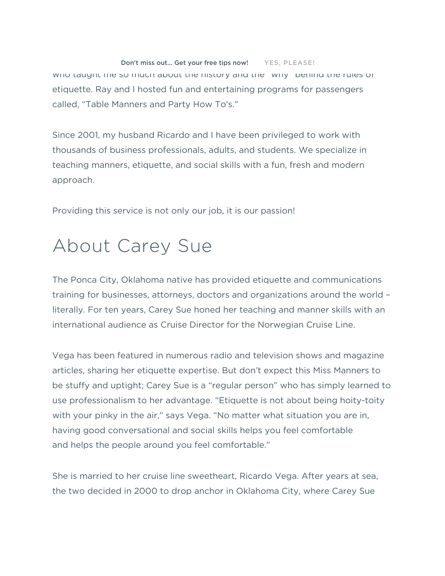## Don't miss out... Get your free tips now! YES, PLEASE! who taught me so much about the history and the "why" behind the rules of etiquette. Ray and I hosted fun and entertaining programs for passengers called, "Table Manners and Party How To's."

Since 2001, my husband Ricardo and I have been privileged to work with thousands of business professionals, adults, and students. We specialize in teaching manners, etiquette, and social skills with a fun, fresh and modern approach.

Providing this service is not only our job, it is our passion!

## About Carey Sue

The Ponca City, Oklahoma native has provided etiquette and communications training for businesses, attorneys, doctors and organizations around the world – literally. For ten years, Carey Sue honed her teaching and manner skills with an international audience as Cruise Director for the Norwegian Cruise Line.

Vega has been featured in numerous radio and television shows and magazine articles, sharing her etiquette expertise. But don't expect this Miss Manners to be stuffy and uptight; Carey Sue is a "regular person" who has simply learned to use professionalism to her advantage. "Etiquette is not about being hoity-toity with your pinky in the air," says Vega. "No matter what situation you are in, having good conversational and social skills helps you feel comfortable and helps the people around you feel comfortable."

She is married to her cruise line sweetheart, Ricardo Vega. After years at sea, the two decided in 2000 to drop anchor in Oklahoma City, where Carey Sue